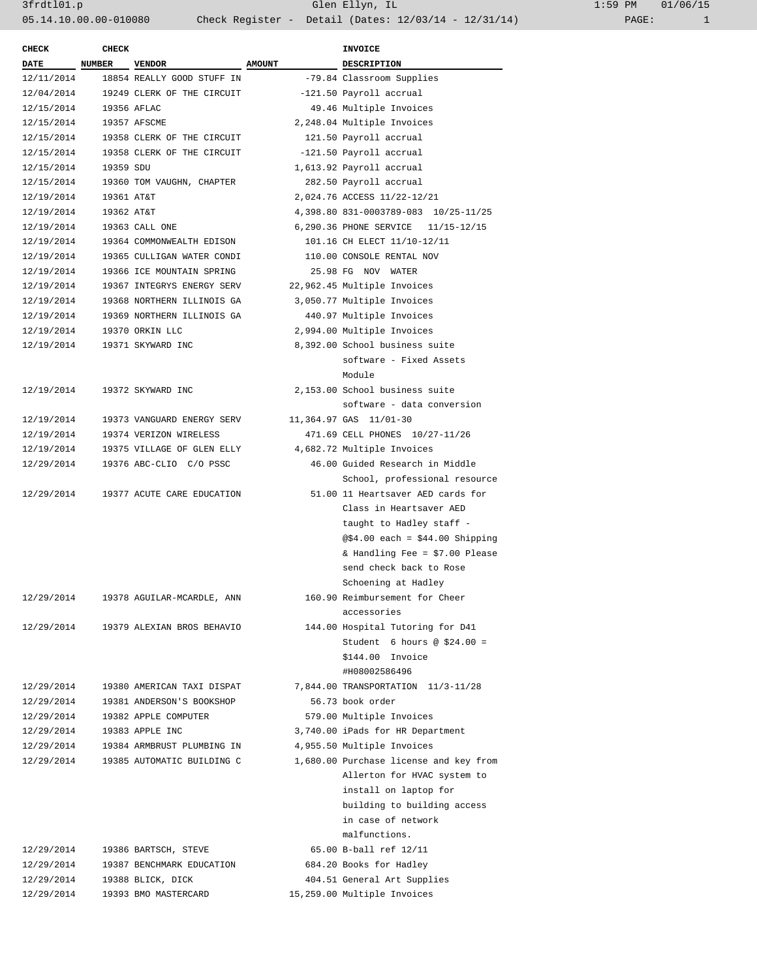| CHECK       | <b>CHECK</b>  |                                       |               | INVOICE                                |  |
|-------------|---------------|---------------------------------------|---------------|----------------------------------------|--|
| <b>DATE</b> | <b>NUMBER</b> | <b>VENDOR</b>                         | <b>AMOUNT</b> | <b>DESCRIPTION</b>                     |  |
| 12/11/2014  |               | 18854 REALLY GOOD STUFF IN            |               | -79.84 Classroom Supplies              |  |
| 12/04/2014  |               | 19249 CLERK OF THE CIRCUIT            |               | -121.50 Payroll accrual                |  |
| 12/15/2014  | 19356 AFLAC   |                                       |               | 49.46 Multiple Invoices                |  |
| 12/15/2014  |               | 19357 AFSCME                          |               | 2,248.04 Multiple Invoices             |  |
| 12/15/2014  |               | 19358 CLERK OF THE CIRCUIT            |               | 121.50 Payroll accrual                 |  |
| 12/15/2014  |               | 19358 CLERK OF THE CIRCUIT            |               | -121.50 Payroll accrual                |  |
| 12/15/2014  | 19359 SDU     |                                       |               | 1,613.92 Payroll accrual               |  |
| 12/15/2014  |               | 19360 TOM VAUGHN, CHAPTER             |               | 282.50 Payroll accrual                 |  |
| 12/19/2014  | 19361 AT&T    |                                       |               | 2,024.76 ACCESS 11/22-12/21            |  |
| 12/19/2014  | 19362 AT&T    |                                       |               | 4,398.80 831-0003789-083 10/25-11/25   |  |
| 12/19/2014  |               | 19363 CALL ONE                        |               | 6,290.36 PHONE SERVICE 11/15-12/15     |  |
| 12/19/2014  |               | 19364 COMMONWEALTH EDISON             |               | 101.16 CH ELECT 11/10-12/11            |  |
| 12/19/2014  |               | 19365 CULLIGAN WATER CONDI            |               | 110.00 CONSOLE RENTAL NOV              |  |
| 12/19/2014  |               | 19366 ICE MOUNTAIN SPRING             |               | 25.98 FG NOV WATER                     |  |
| 12/19/2014  |               | 19367 INTEGRYS ENERGY SERV            |               | 22,962.45 Multiple Invoices            |  |
| 12/19/2014  |               | 19368 NORTHERN ILLINOIS GA            |               | 3,050.77 Multiple Invoices             |  |
| 12/19/2014  |               | 19369 NORTHERN ILLINOIS GA            |               | 440.97 Multiple Invoices               |  |
| 12/19/2014  |               | 19370 ORKIN LLC                       |               | 2,994.00 Multiple Invoices             |  |
| 12/19/2014  |               | 19371 SKYWARD INC                     |               | 8,392.00 School business suite         |  |
|             |               |                                       |               | software - Fixed Assets                |  |
|             |               |                                       |               | Module                                 |  |
| 12/19/2014  |               | 19372 SKYWARD INC                     |               | 2,153.00 School business suite         |  |
|             |               |                                       |               | software - data conversion             |  |
| 12/19/2014  |               | 19373 VANGUARD ENERGY SERV            |               | 11,364.97 GAS 11/01-30                 |  |
| 12/19/2014  |               | 19374 VERIZON WIRELESS                |               | 471.69 CELL PHONES 10/27-11/26         |  |
| 12/19/2014  |               | 19375 VILLAGE OF GLEN ELLY            |               | 4,682.72 Multiple Invoices             |  |
| 12/29/2014  |               | 19376 ABC-CLIO C/O PSSC               |               | 46.00 Guided Research in Middle        |  |
|             |               |                                       |               | School, professional resource          |  |
|             |               | 12/29/2014 19377 ACUTE CARE EDUCATION |               | 51.00 11 Heartsaver AED cards for      |  |
|             |               |                                       |               | Class in Heartsaver AED                |  |
|             |               |                                       |               | taught to Hadley staff -               |  |
|             |               |                                       |               | @\$4.00 each = $$44.00$ Shipping       |  |
|             |               |                                       |               | & Handling Fee = $$7.00$ Please        |  |
|             |               |                                       |               | send check back to Rose                |  |
|             |               |                                       |               | Schoening at Hadley                    |  |
| 12/29/2014  |               | 19378 AGUILAR-MCARDLE, ANN            |               | 160.90 Reimbursement for Cheer         |  |
|             |               |                                       |               | accessories                            |  |
|             |               | 12/29/2014 19379 ALEXIAN BROS BEHAVIO |               | 144.00 Hospital Tutoring for D41       |  |
|             |               |                                       |               | Student 6 hours @ $$24.00 =$           |  |
|             |               |                                       |               | \$144.00 Invoice                       |  |
|             |               |                                       |               | #H08002586496                          |  |
| 12/29/2014  |               | 19380 AMERICAN TAXI DISPAT            |               | 7,844.00 TRANSPORTATION 11/3-11/28     |  |
| 12/29/2014  |               | 19381 ANDERSON'S BOOKSHOP             |               | 56.73 book order                       |  |
| 12/29/2014  |               | 19382 APPLE COMPUTER                  |               | 579.00 Multiple Invoices               |  |
| 12/29/2014  |               | 19383 APPLE INC                       |               | 3,740.00 iPads for HR Department       |  |
| 12/29/2014  |               | 19384 ARMBRUST PLUMBING IN            |               | 4,955.50 Multiple Invoices             |  |
| 12/29/2014  |               | 19385 AUTOMATIC BUILDING C            |               | 1,680.00 Purchase license and key from |  |
|             |               |                                       |               | Allerton for HVAC system to            |  |
|             |               |                                       |               | install on laptop for                  |  |
|             |               |                                       |               | building to building access            |  |
|             |               |                                       |               | in case of network                     |  |
|             |               |                                       |               | malfunctions.                          |  |
| 12/29/2014  |               | 19386 BARTSCH, STEVE                  |               | 65.00 B-ball ref 12/11                 |  |
| 12/29/2014  |               | 19387 BENCHMARK EDUCATION             |               | 684.20 Books for Hadley                |  |
| 12/29/2014  |               | 19388 BLICK, DICK                     |               | 404.51 General Art Supplies            |  |
| 12/29/2014  |               | 19393 BMO MASTERCARD                  |               | 15,259.00 Multiple Invoices            |  |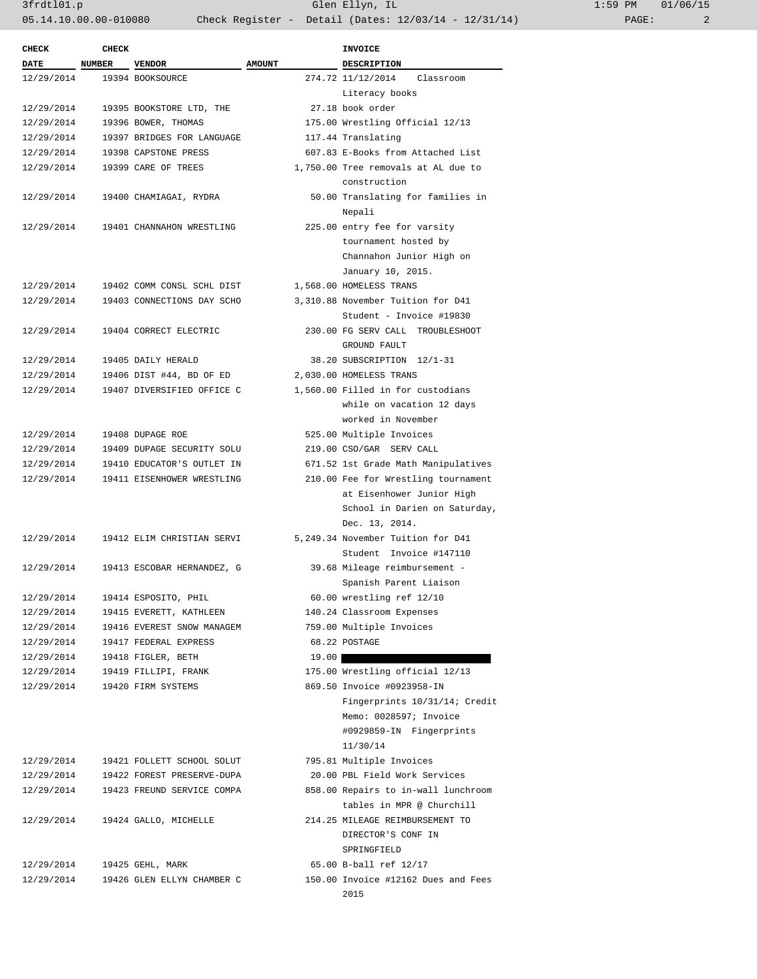3frdtl01.p Glen Ellyn, IL 1:59 PM 01/06/15 05.14.10.00.00-010080 Check Register - Detail (Dates: 12/03/14 - 12/31/14) PAGE: 2

| <b>CHECK</b>             | <b>CHECK</b>  |                                                          |               | <b>INVOICE</b>                                            |
|--------------------------|---------------|----------------------------------------------------------|---------------|-----------------------------------------------------------|
| <b>DATE</b>              | <b>NUMBER</b> | <b>VENDOR</b>                                            | <b>AMOUNT</b> | <b>DESCRIPTION</b>                                        |
| 12/29/2014               |               | 19394 BOOKSOURCE                                         |               | 274.72 11/12/2014<br>Classroom                            |
|                          |               |                                                          |               | Literacy books                                            |
| 12/29/2014               |               | 19395 BOOKSTORE LTD, THE                                 |               | 27.18 book order                                          |
| 12/29/2014               |               | 19396 BOWER, THOMAS                                      |               | 175.00 Wrestling Official 12/13                           |
| 12/29/2014               |               | 19397 BRIDGES FOR LANGUAGE                               |               | 117.44 Translating                                        |
| 12/29/2014               |               | 19398 CAPSTONE PRESS                                     |               | 607.83 E-Books from Attached List                         |
| 12/29/2014               |               | 19399 CARE OF TREES                                      |               | 1,750.00 Tree removals at AL due to                       |
|                          |               |                                                          |               | construction                                              |
| 12/29/2014               |               | 19400 CHAMIAGAI, RYDRA                                   |               | 50.00 Translating for families in                         |
|                          |               |                                                          |               | Nepali                                                    |
| 12/29/2014               |               | 19401 CHANNAHON WRESTLING                                |               | 225.00 entry fee for varsity                              |
|                          |               |                                                          |               | tournament hosted by                                      |
|                          |               |                                                          |               | Channahon Junior High on                                  |
|                          |               |                                                          |               | January 10, 2015.                                         |
| 12/29/2014               |               | 19402 COMM CONSL SCHL DIST                               |               | 1,568.00 HOMELESS TRANS                                   |
| 12/29/2014               |               | 19403 CONNECTIONS DAY SCHO                               |               | 3,310.88 November Tuition for D41                         |
|                          |               |                                                          |               | Student - Invoice #19830                                  |
| 12/29/2014               |               | 19404 CORRECT ELECTRIC                                   |               | 230.00 FG SERV CALL TROUBLESHOOT                          |
|                          |               |                                                          |               | GROUND FAULT                                              |
| 12/29/2014               |               | 19405 DAILY HERALD                                       |               | 38.20 SUBSCRIPTION 12/1-31                                |
| 12/29/2014               |               | 19406 DIST #44, BD OF ED                                 |               | 2,030.00 HOMELESS TRANS                                   |
| 12/29/2014               |               | 19407 DIVERSIFIED OFFICE C                               |               | 1,560.00 Filled in for custodians                         |
|                          |               |                                                          |               | while on vacation 12 days                                 |
|                          |               |                                                          |               | worked in November                                        |
| 12/29/2014               |               | 19408 DUPAGE ROE                                         |               | 525.00 Multiple Invoices                                  |
| 12/29/2014               |               | 19409 DUPAGE SECURITY SOLU                               |               | 219.00 CSO/GAR SERV CALL                                  |
| 12/29/2014               |               | 19410 EDUCATOR'S OUTLET IN                               |               | 671.52 1st Grade Math Manipulatives                       |
| 12/29/2014               |               | 19411 EISENHOWER WRESTLING                               |               | 210.00 Fee for Wrestling tournament                       |
|                          |               |                                                          |               | at Eisenhower Junior High                                 |
|                          |               |                                                          |               | School in Darien on Saturday,                             |
|                          |               |                                                          |               | Dec. 13, 2014.                                            |
| 12/29/2014               |               | 19412 ELIM CHRISTIAN SERVI                               |               | 5,249.34 November Tuition for D41                         |
|                          |               |                                                          |               | Student Invoice #147110                                   |
| 12/29/2014               |               | 19413 ESCOBAR HERNANDEZ, G                               |               | 39.68 Mileage reimbursement -                             |
|                          |               |                                                          |               | Spanish Parent Liaison                                    |
| 12/29/2014               |               | 19414 ESPOSITO, PHIL                                     |               | 60.00 wrestling ref 12/10                                 |
| 12/29/2014               |               | 19415 EVERETT, KATHLEEN                                  |               | 140.24 Classroom Expenses                                 |
| 12/29/2014               |               | 19416 EVEREST SNOW MANAGEM                               |               | 759.00 Multiple Invoices                                  |
| 12/29/2014               |               | 19417 FEDERAL EXPRESS                                    |               | 68.22 POSTAGE                                             |
| 12/29/2014               |               | 19418 FIGLER, BETH                                       | 19.00         |                                                           |
| 12/29/2014               |               | 19419 FILLIPI, FRANK                                     |               | 175.00 Wrestling official 12/13                           |
| 12/29/2014               |               | 19420 FIRM SYSTEMS                                       |               | 869.50 Invoice #0923958-IN                                |
|                          |               |                                                          |               | Fingerprints 10/31/14; Credit                             |
|                          |               |                                                          |               | Memo: 0028597; Invoice                                    |
|                          |               |                                                          |               | #0929859-IN Fingerprints                                  |
|                          |               |                                                          |               | 11/30/14                                                  |
|                          |               |                                                          |               |                                                           |
| 12/29/2014<br>12/29/2014 |               | 19421 FOLLETT SCHOOL SOLUT<br>19422 FOREST PRESERVE-DUPA |               | 795.81 Multiple Invoices<br>20.00 PBL Field Work Services |
| 12/29/2014               |               |                                                          |               | 858.00 Repairs to in-wall lunchroom                       |
|                          |               | 19423 FREUND SERVICE COMPA                               |               |                                                           |
|                          |               |                                                          |               | tables in MPR @ Churchill                                 |
| 12/29/2014               |               | 19424 GALLO, MICHELLE                                    |               | 214.25 MILEAGE REIMBURSEMENT TO                           |
|                          |               |                                                          |               | DIRECTOR'S CONF IN                                        |
|                          |               |                                                          |               | SPRINGFIELD                                               |
| 12/29/2014               |               | 19425 GEHL, MARK                                         |               | 65.00 B-ball ref 12/17                                    |
| 12/29/2014               |               | 19426 GLEN ELLYN CHAMBER C                               |               | 150.00 Invoice #12162 Dues and Fees                       |
|                          |               |                                                          |               | 2015                                                      |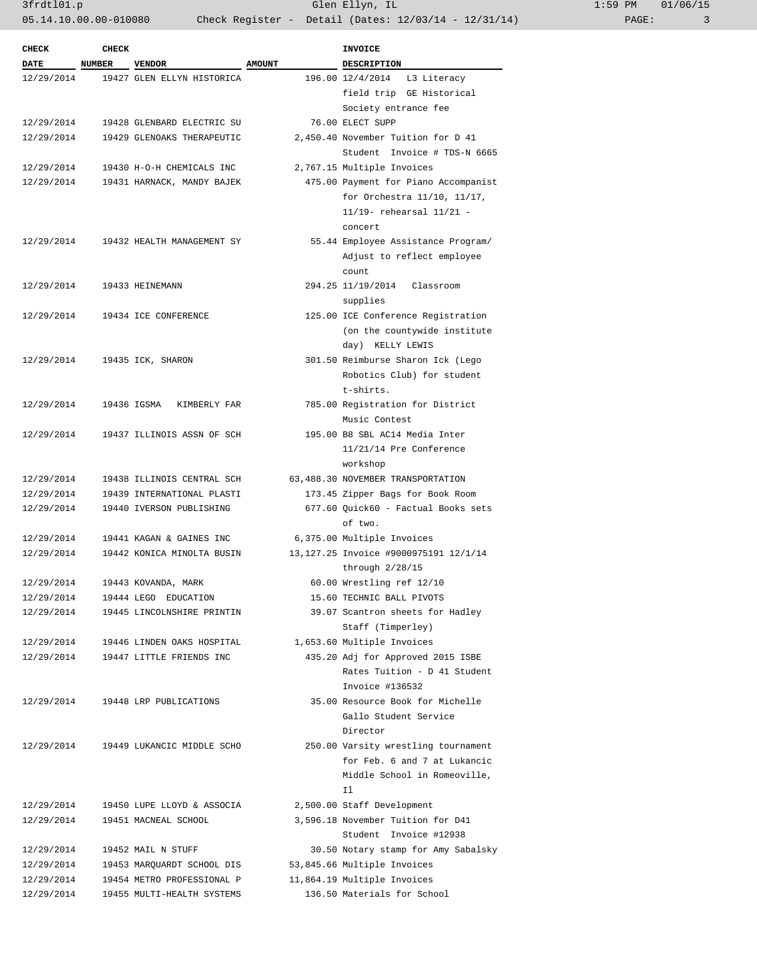3frdtl01.p Glen Ellyn, IL 1:59 PM 01/06/159 PM 01/06/159 PM 01/06/159 PM 01/06/159 PM 01/06/159 PM 01/06/159 PM 01/06/159 PM 01/06/159 PM 01/06/159 PM 01/06/159 PM 01/06/159 PM 01/06/159 PM 01/06/159 PM 01/06/159 PM 01/06/ 05.14.10.00.00-010080 Check Register - Detail (Dates: 12/03/14 - 12/31/14)

| 1:59 PM |       | 01/06/15 |
|---------|-------|----------|
|         | PAGE: |          |

| <b>CHECK</b> | <b>CHECK</b> |                             |               | <b>INVOICE</b>                                 |
|--------------|--------------|-----------------------------|---------------|------------------------------------------------|
| DATE         | NUMBER       | <b>VENDOR</b>               | <b>AMOUNT</b> | <b>DESCRIPTION</b>                             |
| 12/29/2014   |              | 19427 GLEN ELLYN HISTORICA  |               | 196.00 12/4/2014<br>L3 Literacy                |
|              |              |                             |               | field trip GE Historical                       |
|              |              |                             |               | Society entrance fee                           |
| 12/29/2014   |              | 19428 GLENBARD ELECTRIC SU  |               | 76.00 ELECT SUPP                               |
| 12/29/2014   |              | 19429 GLENOAKS THERAPEUTIC  |               | 2,450.40 November Tuition for D 41             |
|              |              |                             |               | Student Invoice # TDS-N 6665                   |
| 12/29/2014   |              | 19430 H-O-H CHEMICALS INC   |               | 2,767.15 Multiple Invoices                     |
| 12/29/2014   |              | 19431 HARNACK, MANDY BAJEK  |               | 475.00 Payment for Piano Accompanist           |
|              |              |                             |               | for Orchestra 11/10, 11/17,                    |
|              |              |                             |               | 11/19- rehearsal 11/21 -                       |
|              |              |                             |               | concert                                        |
| 12/29/2014   |              | 19432 HEALTH MANAGEMENT SY  |               | 55.44 Employee Assistance Program/             |
|              |              |                             |               | Adjust to reflect employee                     |
|              |              |                             |               | count                                          |
| 12/29/2014   |              | 19433 HEINEMANN             |               | 294.25 11/19/2014<br>Classroom                 |
|              |              |                             |               | supplies                                       |
| 12/29/2014   |              | 19434 ICE CONFERENCE        |               | 125.00 ICE Conference Registration             |
|              |              |                             |               | (on the countywide institute                   |
|              |              |                             |               | day) KELLY LEWIS                               |
| 12/29/2014   |              | 19435 ICK, SHARON           |               | 301.50 Reimburse Sharon Ick (Lego              |
|              |              |                             |               | Robotics Club) for student                     |
|              |              |                             |               | t-shirts.                                      |
| 12/29/2014   |              | 19436 IGSMA<br>KIMBERLY FAR |               | 785.00 Registration for District               |
|              |              |                             |               | Music Contest                                  |
| 12/29/2014   |              | 19437 ILLINOIS ASSN OF SCH  |               | 195.00 B8 SBL AC14 Media Inter                 |
|              |              |                             |               | $11/21/14$ Pre Conference                      |
|              |              |                             |               | workshop                                       |
| 12/29/2014   |              | 19438 ILLINOIS CENTRAL SCH  |               | 63,488.30 NOVEMBER TRANSPORTATION              |
| 12/29/2014   |              | 19439 INTERNATIONAL PLASTI  |               | 173.45 Zipper Bags for Book Room               |
| 12/29/2014   |              | 19440 IVERSON PUBLISHING    |               | 677.60 Quick60 - Factual Books sets            |
|              |              |                             |               | of two.                                        |
| 12/29/2014   |              | 19441 KAGAN & GAINES INC    |               | 6,375.00 Multiple Invoices                     |
| 12/29/2014   |              | 19442 KONICA MINOLTA BUSIN  |               | 13, 127.25 Invoice #9000975191 12/1/14         |
| 12/29/2014   |              | 19443 KOVANDA, MARK         |               | through $2/28/15$<br>60.00 Wrestling ref 12/10 |
| 12/29/2014   |              | 19444 LEGO EDUCATION        |               | 15.60 TECHNIC BALL PIVOTS                      |
| 12/29/2014   |              | 19445 LINCOLNSHIRE PRINTIN  |               | 39.07 Scantron sheets for Hadley               |
|              |              |                             |               | Staff (Timperley)                              |
| 12/29/2014   |              | 19446 LINDEN OAKS HOSPITAL  |               | 1,653.60 Multiple Invoices                     |
| 12/29/2014   |              | 19447 LITTLE FRIENDS INC    |               | 435.20 Adj for Approved 2015 ISBE              |
|              |              |                             |               | Rates Tuition - D 41 Student                   |
|              |              |                             |               | Invoice #136532                                |
| 12/29/2014   |              | 19448 LRP PUBLICATIONS      |               | 35.00 Resource Book for Michelle               |
|              |              |                             |               | Gallo Student Service                          |
|              |              |                             |               | Director                                       |
| 12/29/2014   |              | 19449 LUKANCIC MIDDLE SCHO  |               | 250.00 Varsity wrestling tournament            |
|              |              |                             |               | for Feb. 6 and 7 at Lukancic                   |
|              |              |                             |               | Middle School in Romeoville,                   |
|              |              |                             |               | I1                                             |
| 12/29/2014   |              | 19450 LUPE LLOYD & ASSOCIA  |               | 2,500.00 Staff Development                     |
| 12/29/2014   |              | 19451 MACNEAL SCHOOL        |               | 3,596.18 November Tuition for D41              |
|              |              |                             |               | Student Invoice #12938                         |
| 12/29/2014   |              | 19452 MAIL N STUFF          |               | 30.50 Notary stamp for Amy Sabalsky            |
| 12/29/2014   |              | 19453 MARQUARDT SCHOOL DIS  |               | 53,845.66 Multiple Invoices                    |
| 12/29/2014   |              | 19454 METRO PROFESSIONAL P  |               | 11,864.19 Multiple Invoices                    |
| 12/29/2014   |              | 19455 MULTI-HEALTH SYSTEMS  |               | 136.50 Materials for School                    |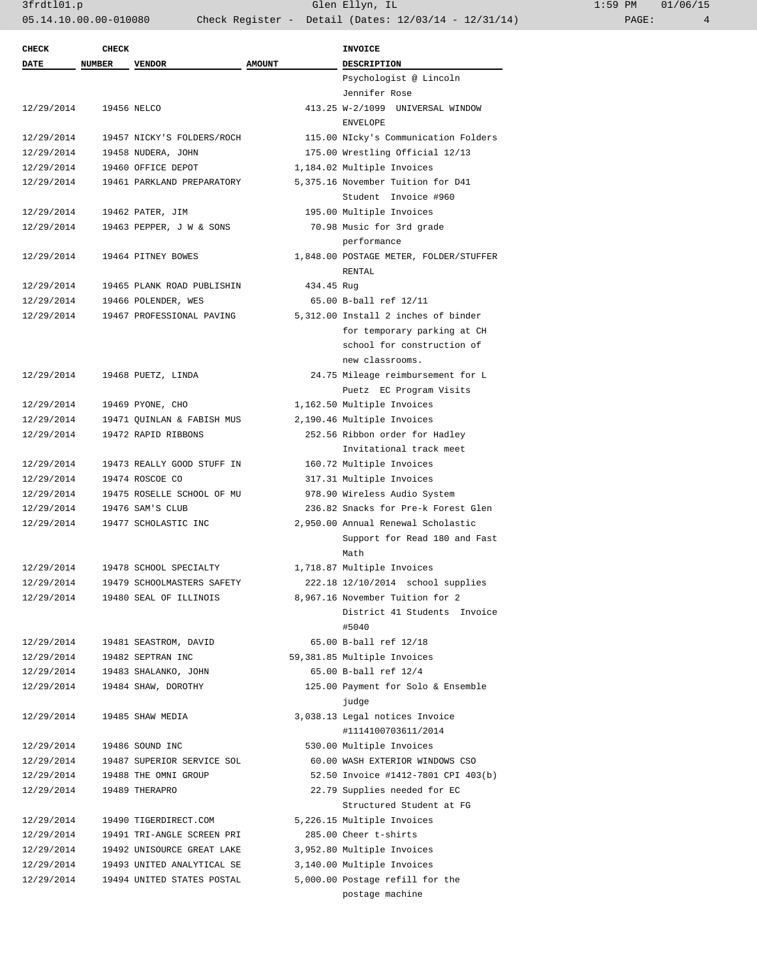| $1:59$ PM |       | 01/06/15 |
|-----------|-------|----------|
|           | PAGE: |          |

| <b>CHECK</b> | <b>CHECK</b>  |                            |               | <b>INVOICE</b>                         |
|--------------|---------------|----------------------------|---------------|----------------------------------------|
| DATE         | <b>NUMBER</b> | <b>VENDOR</b>              | <b>AMOUNT</b> | <b>DESCRIPTION</b>                     |
|              |               |                            |               | Psychologist @ Lincoln                 |
|              |               |                            |               | Jennifer Rose                          |
| 12/29/2014   |               | 19456 NELCO                |               | 413.25 W-2/1099 UNIVERSAL WINDOW       |
|              |               |                            |               | <b>ENVELOPE</b>                        |
| 12/29/2014   |               | 19457 NICKY'S FOLDERS/ROCH |               | 115.00 NIcky's Communication Folders   |
| 12/29/2014   |               | 19458 NUDERA, JOHN         |               | 175.00 Wrestling Official 12/13        |
| 12/29/2014   |               | 19460 OFFICE DEPOT         |               | 1,184.02 Multiple Invoices             |
| 12/29/2014   |               | 19461 PARKLAND PREPARATORY |               | 5,375.16 November Tuition for D41      |
|              |               |                            |               | Student Invoice #960                   |
| 12/29/2014   |               | 19462 PATER, JIM           |               | 195.00 Multiple Invoices               |
| 12/29/2014   |               | 19463 PEPPER, J W & SONS   |               | 70.98 Music for 3rd grade              |
|              |               |                            |               | performance                            |
| 12/29/2014   |               | 19464 PITNEY BOWES         |               | 1,848.00 POSTAGE METER, FOLDER/STUFFER |
|              |               |                            |               | RENTAL                                 |
| 12/29/2014   |               | 19465 PLANK ROAD PUBLISHIN | 434.45 Rug    |                                        |
| 12/29/2014   |               | 19466 POLENDER, WES        |               | 65.00 B-ball ref 12/11                 |
| 12/29/2014   |               | 19467 PROFESSIONAL PAVING  |               | 5,312.00 Install 2 inches of binder    |
|              |               |                            |               | for temporary parking at CH            |
|              |               |                            |               | school for construction of             |
|              |               |                            |               | new classrooms.                        |
| 12/29/2014   |               | 19468 PUETZ, LINDA         |               | 24.75 Mileage reimbursement for L      |
|              |               |                            |               | Puetz EC Program Visits                |
| 12/29/2014   |               | 19469 PYONE, CHO           |               | 1,162.50 Multiple Invoices             |
| 12/29/2014   |               | 19471 QUINLAN & FABISH MUS |               | 2,190.46 Multiple Invoices             |
| 12/29/2014   |               | 19472 RAPID RIBBONS        |               | 252.56 Ribbon order for Hadley         |
|              |               |                            |               | Invitational track meet                |
| 12/29/2014   |               | 19473 REALLY GOOD STUFF IN |               | 160.72 Multiple Invoices               |
| 12/29/2014   |               | 19474 ROSCOE CO            |               | 317.31 Multiple Invoices               |
| 12/29/2014   |               | 19475 ROSELLE SCHOOL OF MU |               | 978.90 Wireless Audio System           |
| 12/29/2014   |               | 19476 SAM'S CLUB           |               | 236.82 Snacks for Pre-k Forest Glen    |
| 12/29/2014   |               | 19477 SCHOLASTIC INC       |               | 2,950.00 Annual Renewal Scholastic     |
|              |               |                            |               | Support for Read 180 and Fast<br>Math  |
| 12/29/2014   |               | 19478 SCHOOL SPECIALTY     |               | 1,718.87 Multiple Invoices             |
| 12/29/2014   |               | 19479 SCHOOLMASTERS SAFETY |               | 222.18 12/10/2014 school supplies      |
| 12/29/2014   |               | 19480 SEAL OF ILLINOIS     |               | 8,967.16 November Tuition for 2        |
|              |               |                            |               | District 41 Students Invoice           |
|              |               |                            |               | #5040                                  |
| 12/29/2014   |               | 19481 SEASTROM, DAVID      |               | 65.00 B-ball ref 12/18                 |
| 12/29/2014   |               | 19482 SEPTRAN INC          |               | 59,381.85 Multiple Invoices            |
| 12/29/2014   |               | 19483 SHALANKO, JOHN       |               | 65.00 B-ball ref 12/4                  |
| 12/29/2014   |               | 19484 SHAW, DOROTHY        |               | 125.00 Payment for Solo & Ensemble     |
|              |               |                            |               | judge                                  |
| 12/29/2014   |               | 19485 SHAW MEDIA           |               | 3,038.13 Legal notices Invoice         |
|              |               |                            |               | #1114100703611/2014                    |
| 12/29/2014   |               | 19486 SOUND INC            |               | 530.00 Multiple Invoices               |
| 12/29/2014   |               | 19487 SUPERIOR SERVICE SOL |               | 60.00 WASH EXTERIOR WINDOWS CSO        |
| 12/29/2014   |               | 19488 THE OMNI GROUP       |               | 52.50 Invoice #1412-7801 CPI 403(b)    |
| 12/29/2014   |               | 19489 THERAPRO             |               | 22.79 Supplies needed for EC           |
|              |               |                            |               | Structured Student at FG               |
| 12/29/2014   |               | 19490 TIGERDIRECT.COM      |               | 5,226.15 Multiple Invoices             |
| 12/29/2014   |               | 19491 TRI-ANGLE SCREEN PRI |               | 285.00 Cheer t-shirts                  |
|              |               |                            |               |                                        |
| 12/29/2014   |               | 19492 UNISOURCE GREAT LAKE |               | 3,952.80 Multiple Invoices             |
| 12/29/2014   |               | 19493 UNITED ANALYTICAL SE |               | 3,140.00 Multiple Invoices             |
| 12/29/2014   |               | 19494 UNITED STATES POSTAL |               | 5,000.00 Postage refill for the        |
|              |               |                            |               | postage machine                        |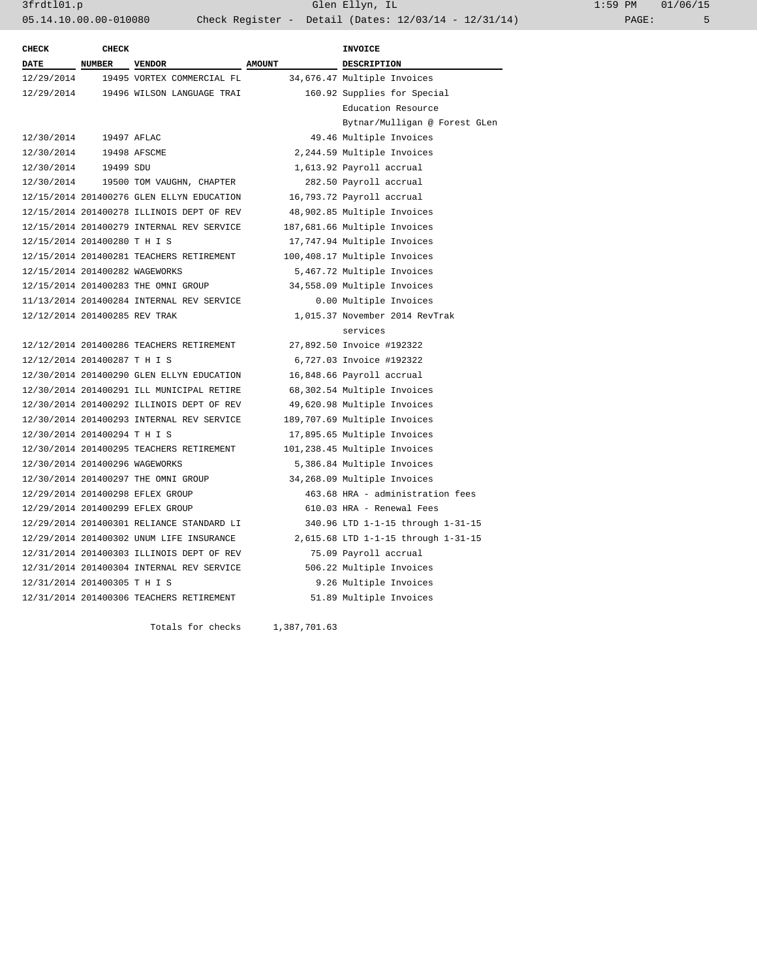3frdtl01.p Glen Ellyn, IL 1:59 PM 01/06/15 05.14.10.00.00-010080 Check Register - Detail (Dates: 12/03/14 - 12/31/14) PAGE: 5

| <b>CHECK</b>                   | <b>CHECK</b>  |                                           |               | <b>INVOICE</b>                      |
|--------------------------------|---------------|-------------------------------------------|---------------|-------------------------------------|
| <b>DATE</b>                    | <b>NUMBER</b> | <b>VENDOR</b>                             | <b>AMOUNT</b> | <b>DESCRIPTION</b>                  |
| 12/29/2014                     |               | 19495 VORTEX COMMERCIAL FL                |               | 34,676.47 Multiple Invoices         |
| 12/29/2014                     |               | 19496 WILSON LANGUAGE TRAI                |               | 160.92 Supplies for Special         |
|                                |               |                                           |               | Education Resource                  |
|                                |               |                                           |               | Bytnar/Mulligan @ Forest GLen       |
| 12/30/2014                     | 19497 AFLAC   |                                           |               | 49.46 Multiple Invoices             |
| 12/30/2014 19498 AFSCME        |               |                                           |               | 2,244.59 Multiple Invoices          |
| 12/30/2014  19499 SDU          |               |                                           |               | 1,613.92 Payroll accrual            |
|                                |               | 12/30/2014 19500 TOM VAUGHN, CHAPTER      |               | 282.50 Payroll accrual              |
|                                |               | 12/15/2014 201400276 GLEN ELLYN EDUCATION |               | 16,793.72 Payroll accrual           |
|                                |               | 12/15/2014 201400278 ILLINOIS DEPT OF REV |               | 48,902.85 Multiple Invoices         |
|                                |               | 12/15/2014 201400279 INTERNAL REV SERVICE |               | 187,681.66 Multiple Invoices        |
| 12/15/2014 201400280 T H I S   |               |                                           |               | 17,747.94 Multiple Invoices         |
|                                |               | 12/15/2014 201400281 TEACHERS RETIREMENT  |               | 100,408.17 Multiple Invoices        |
| 12/15/2014 201400282 WAGEWORKS |               |                                           |               | 5,467.72 Multiple Invoices          |
|                                |               | 12/15/2014 201400283 THE OMNI GROUP       |               | 34,558.09 Multiple Invoices         |
|                                |               | 11/13/2014 201400284 INTERNAL REV SERVICE |               | 0.00 Multiple Invoices              |
| 12/12/2014 201400285 REV TRAK  |               |                                           |               | 1,015.37 November 2014 RevTrak      |
|                                |               |                                           |               | services                            |
|                                |               | 12/12/2014 201400286 TEACHERS RETIREMENT  |               | 27,892.50 Invoice #192322           |
| 12/12/2014 201400287 T H I S   |               |                                           |               | 6,727.03 Invoice #192322            |
|                                |               | 12/30/2014 201400290 GLEN ELLYN EDUCATION |               | 16,848.66 Payroll accrual           |
|                                |               | 12/30/2014 201400291 ILL MUNICIPAL RETIRE |               | 68,302.54 Multiple Invoices         |
|                                |               | 12/30/2014 201400292 ILLINOIS DEPT OF REV |               | 49,620.98 Multiple Invoices         |
|                                |               | 12/30/2014 201400293 INTERNAL REV SERVICE |               | 189,707.69 Multiple Invoices        |
| 12/30/2014 201400294 T H I S   |               |                                           |               | 17,895.65 Multiple Invoices         |
|                                |               | 12/30/2014 201400295 TEACHERS RETIREMENT  |               | 101,238.45 Multiple Invoices        |
| 12/30/2014 201400296 WAGEWORKS |               |                                           |               | 5,386.84 Multiple Invoices          |
|                                |               | 12/30/2014 201400297 THE OMNI GROUP       |               | 34,268.09 Multiple Invoices         |
|                                |               | 12/29/2014 201400298 EFLEX GROUP          |               | 463.68 HRA - administration fees    |
|                                |               | 12/29/2014 201400299 EFLEX GROUP          |               | 610.03 HRA - Renewal Fees           |
|                                |               | 12/29/2014 201400301 RELIANCE STANDARD LI |               | 340.96 LTD 1-1-15 through 1-31-15   |
|                                |               | 12/29/2014 201400302 UNUM LIFE INSURANCE  |               | 2,615.68 LTD 1-1-15 through 1-31-15 |
|                                |               | 12/31/2014 201400303 ILLINOIS DEPT OF REV |               | 75.09 Payroll accrual               |
|                                |               | 12/31/2014 201400304 INTERNAL REV SERVICE |               | 506.22 Multiple Invoices            |
| 12/31/2014 201400305 T H I S   |               |                                           |               | 9.26 Multiple Invoices              |
|                                |               | 12/31/2014 201400306 TEACHERS RETIREMENT  |               | 51.89 Multiple Invoices             |

Totals for checks 1,387,701.63